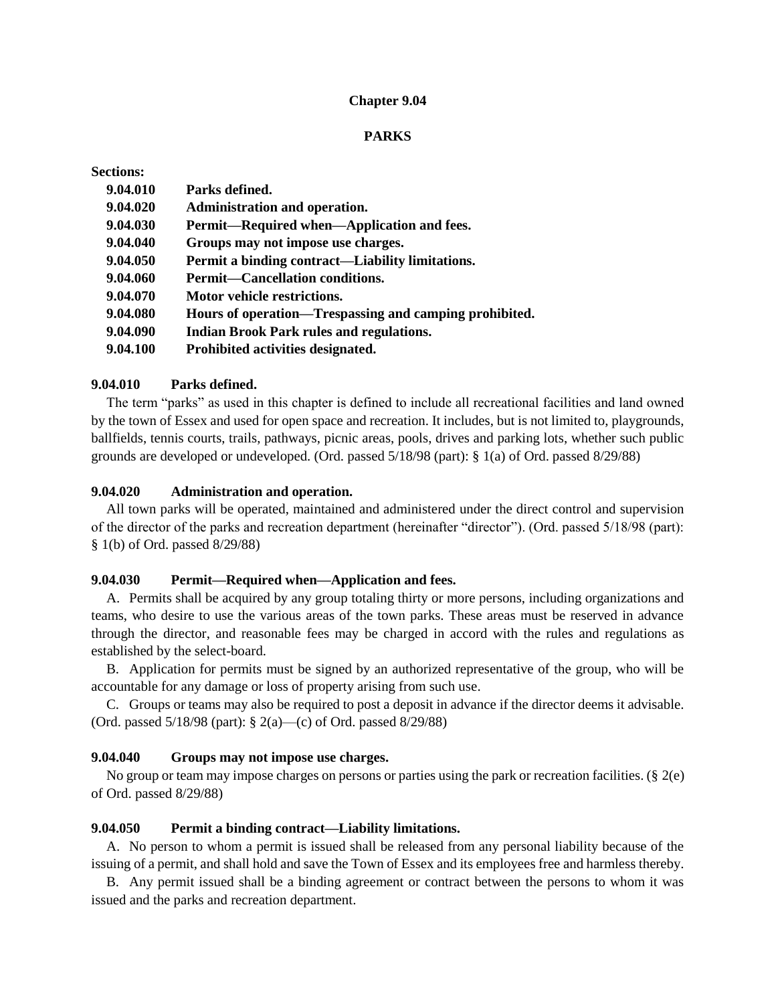#### **Chapter 9.04**

### **PARKS**

| <b>Sections:</b> |                                                        |
|------------------|--------------------------------------------------------|
| 9.04.010         | Parks defined.                                         |
| 9.04.020         | Administration and operation.                          |
| 9.04.030         | Permit—Required when—Application and fees.             |
| 9.04.040         | Groups may not impose use charges.                     |
| 9.04.050         | Permit a binding contract—Liability limitations.       |
| 9.04.060         | <b>Permit—Cancellation conditions.</b>                 |
| 9.04.070         | Motor vehicle restrictions.                            |
| 9.04.080         | Hours of operation—Trespassing and camping prohibited. |
| 9.04.090         | <b>Indian Brook Park rules and regulations.</b>        |
| 9.04.100         | Prohibited activities designated.                      |

### **9.04.010 Parks defined.**

The term "parks" as used in this chapter is defined to include all recreational facilities and land owned by the town of Essex and used for open space and recreation. It includes, but is not limited to, playgrounds, ballfields, tennis courts, trails, pathways, picnic areas, pools, drives and parking lots, whether such public grounds are developed or undeveloped. (Ord. passed 5/18/98 (part): § 1(a) of Ord. passed 8/29/88)

#### **9.04.020 Administration and operation.**

All town parks will be operated, maintained and administered under the direct control and supervision of the director of the parks and recreation department (hereinafter "director"). (Ord. passed 5/18/98 (part): § 1(b) of Ord. passed 8/29/88)

# **9.04.030 Permit—Required when—Application and fees.**

A. Permits shall be acquired by any group totaling thirty or more persons, including organizations and teams, who desire to use the various areas of the town parks. These areas must be reserved in advance through the director, and reasonable fees may be charged in accord with the rules and regulations as established by the select-board.

B. Application for permits must be signed by an authorized representative of the group, who will be accountable for any damage or loss of property arising from such use.

C. Groups or teams may also be required to post a deposit in advance if the director deems it advisable. (Ord. passed 5/18/98 (part): § 2(a)—(c) of Ord. passed 8/29/88)

### **9.04.040 Groups may not impose use charges.**

No group or team may impose charges on persons or parties using the park or recreation facilities. (§ 2(e) of Ord. passed 8/29/88)

#### **9.04.050 Permit a binding contract—Liability limitations.**

A. No person to whom a permit is issued shall be released from any personal liability because of the issuing of a permit, and shall hold and save the Town of Essex and its employees free and harmless thereby.

B. Any permit issued shall be a binding agreement or contract between the persons to whom it was issued and the parks and recreation department.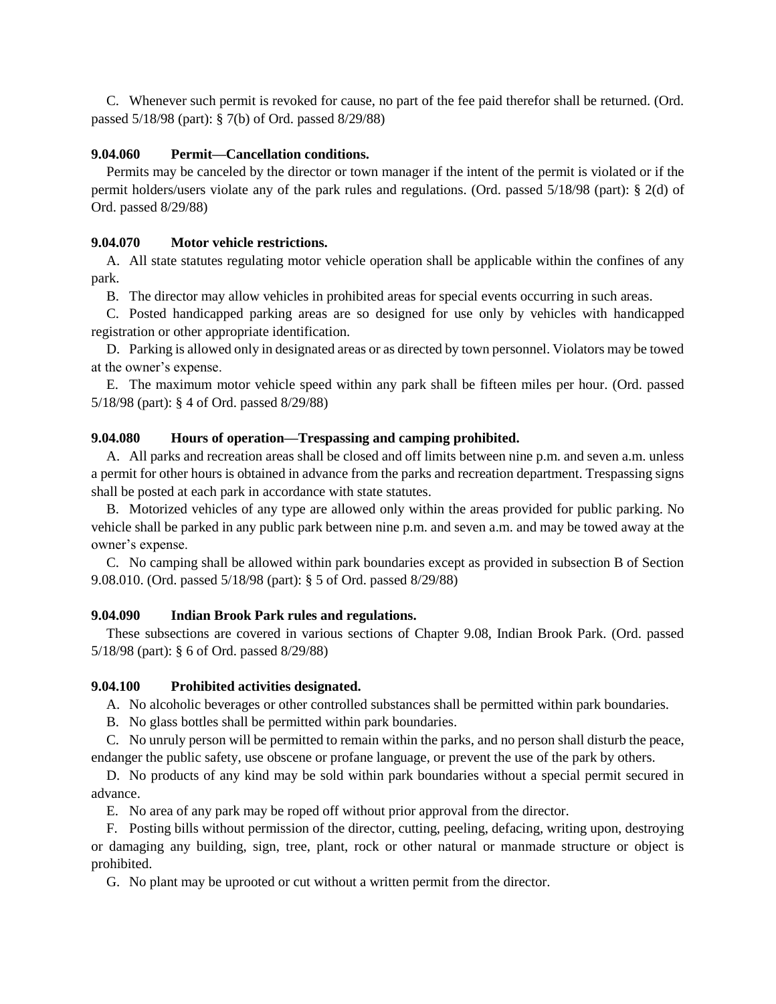C. Whenever such permit is revoked for cause, no part of the fee paid therefor shall be returned. (Ord. passed 5/18/98 (part): § 7(b) of Ord. passed 8/29/88)

# **9.04.060 Permit—Cancellation conditions.**

Permits may be canceled by the director or town manager if the intent of the permit is violated or if the permit holders/users violate any of the park rules and regulations. (Ord. passed 5/18/98 (part): § 2(d) of Ord. passed 8/29/88)

# **9.04.070 Motor vehicle restrictions.**

A. All state statutes regulating motor vehicle operation shall be applicable within the confines of any park.

B. The director may allow vehicles in prohibited areas for special events occurring in such areas.

C. Posted handicapped parking areas are so designed for use only by vehicles with handicapped registration or other appropriate identification.

D. Parking is allowed only in designated areas or as directed by town personnel. Violators may be towed at the owner's expense.

E. The maximum motor vehicle speed within any park shall be fifteen miles per hour. (Ord. passed 5/18/98 (part): § 4 of Ord. passed 8/29/88)

### **9.04.080 Hours of operation—Trespassing and camping prohibited.**

A. All parks and recreation areas shall be closed and off limits between nine p.m. and seven a.m. unless a permit for other hours is obtained in advance from the parks and recreation department. Trespassing signs shall be posted at each park in accordance with state statutes.

B. Motorized vehicles of any type are allowed only within the areas provided for public parking. No vehicle shall be parked in any public park between nine p.m. and seven a.m. and may be towed away at the owner's expense.

C. No camping shall be allowed within park boundaries except as provided in subsection B of Section 9.08.010. (Ord. passed 5/18/98 (part): § 5 of Ord. passed 8/29/88)

# **9.04.090 Indian Brook Park rules and regulations.**

These subsections are covered in various sections of Chapter 9.08, Indian Brook Park. (Ord. passed 5/18/98 (part): § 6 of Ord. passed 8/29/88)

# **9.04.100 Prohibited activities designated.**

A. No alcoholic beverages or other controlled substances shall be permitted within park boundaries.

B. No glass bottles shall be permitted within park boundaries.

C. No unruly person will be permitted to remain within the parks, and no person shall disturb the peace, endanger the public safety, use obscene or profane language, or prevent the use of the park by others.

D. No products of any kind may be sold within park boundaries without a special permit secured in advance.

E. No area of any park may be roped off without prior approval from the director.

F. Posting bills without permission of the director, cutting, peeling, defacing, writing upon, destroying or damaging any building, sign, tree, plant, rock or other natural or manmade structure or object is prohibited.

G. No plant may be uprooted or cut without a written permit from the director.